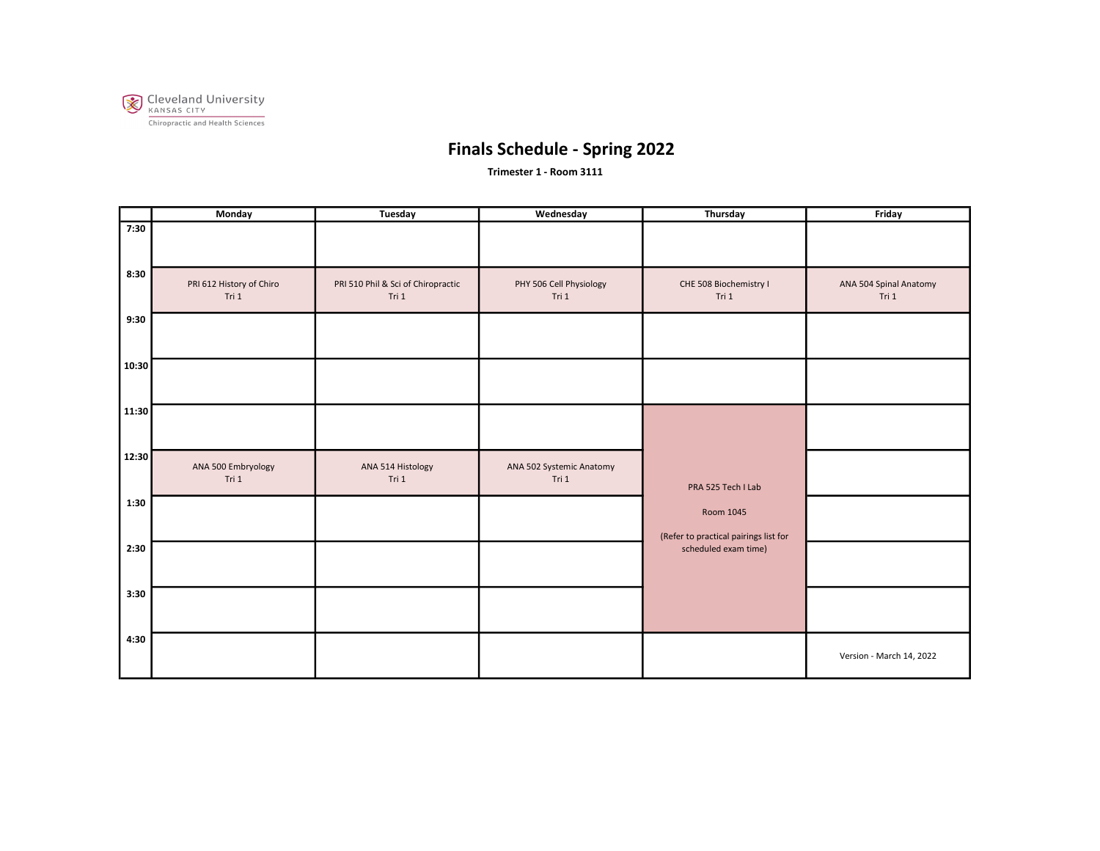

Trimester 1 - Room 3111

|       | Monday                            | Tuesday                                     | Wednesday                         | Thursday                                           | Friday                          |
|-------|-----------------------------------|---------------------------------------------|-----------------------------------|----------------------------------------------------|---------------------------------|
| 7:30  |                                   |                                             |                                   |                                                    |                                 |
| 8:30  | PRI 612 History of Chiro<br>Tri 1 | PRI 510 Phil & Sci of Chiropractic<br>Tri 1 | PHY 506 Cell Physiology<br>Tri 1  | CHE 508 Biochemistry I<br>Tri 1                    | ANA 504 Spinal Anatomy<br>Tri 1 |
| 9:30  |                                   |                                             |                                   |                                                    |                                 |
| 10:30 |                                   |                                             |                                   |                                                    |                                 |
| 11:30 |                                   |                                             |                                   |                                                    |                                 |
| 12:30 | ANA 500 Embryology<br>Tri 1       | ANA 514 Histology<br>Tri 1                  | ANA 502 Systemic Anatomy<br>Tri 1 | PRA 525 Tech I Lab                                 |                                 |
| 1:30  |                                   |                                             |                                   | Room 1045<br>(Refer to practical pairings list for |                                 |
| 2:30  |                                   |                                             |                                   | scheduled exam time)                               |                                 |
| 3:30  |                                   |                                             |                                   |                                                    |                                 |
| 4:30  |                                   |                                             |                                   |                                                    | Version - March 14, 2022        |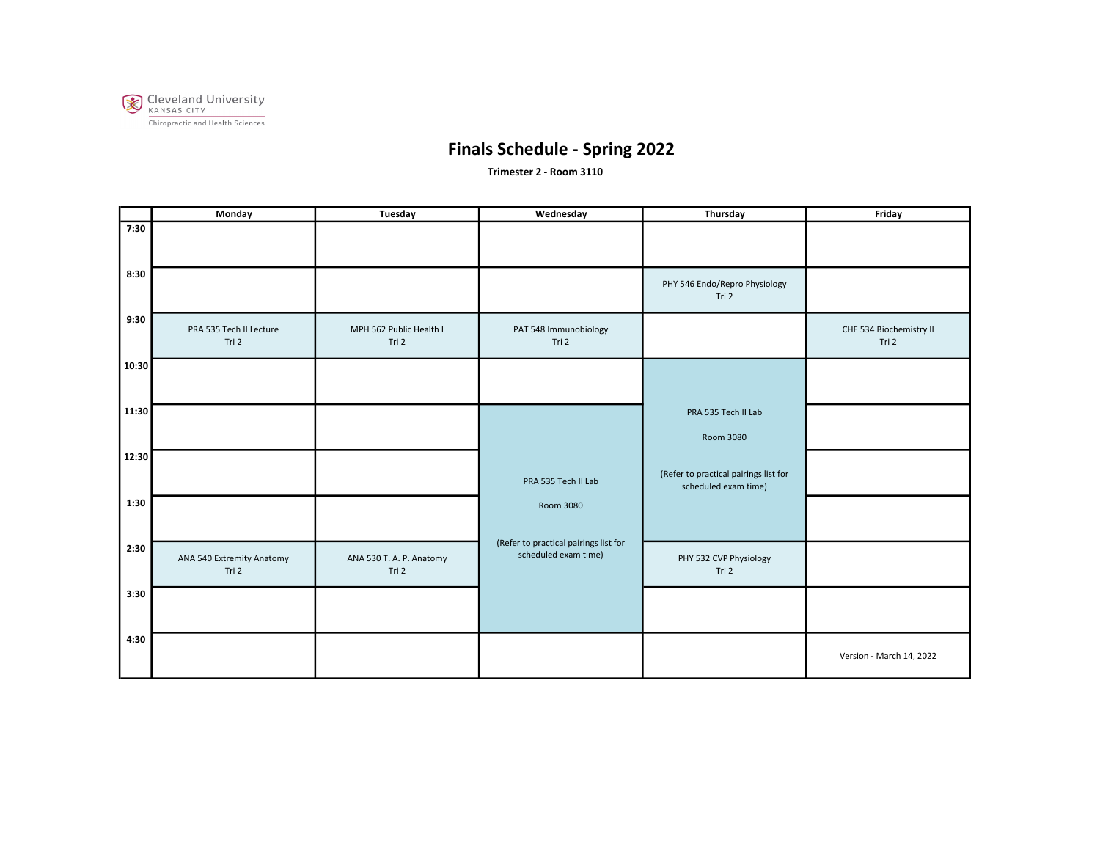

Trimester 2 - Room 3110

|       | Monday                             | Tuesday                           | Wednesday                                                     | Thursday                                                      | Friday                           |
|-------|------------------------------------|-----------------------------------|---------------------------------------------------------------|---------------------------------------------------------------|----------------------------------|
| 7:30  |                                    |                                   |                                                               |                                                               |                                  |
| 8:30  |                                    |                                   |                                                               | PHY 546 Endo/Repro Physiology<br>Tri 2                        |                                  |
| 9:30  | PRA 535 Tech II Lecture<br>Tri 2   | MPH 562 Public Health I<br>Tri 2  | PAT 548 Immunobiology<br>Tri 2                                |                                                               | CHE 534 Biochemistry II<br>Tri 2 |
| 10:30 |                                    |                                   |                                                               |                                                               |                                  |
| 11:30 |                                    |                                   |                                                               | PRA 535 Tech II Lab<br>Room 3080                              |                                  |
| 12:30 |                                    |                                   | PRA 535 Tech II Lab                                           | (Refer to practical pairings list for<br>scheduled exam time) |                                  |
| 1:30  |                                    |                                   | Room 3080                                                     |                                                               |                                  |
| 2:30  | ANA 540 Extremity Anatomy<br>Tri 2 | ANA 530 T. A. P. Anatomy<br>Tri 2 | (Refer to practical pairings list for<br>scheduled exam time) | PHY 532 CVP Physiology<br>Tri 2                               |                                  |
| 3:30  |                                    |                                   |                                                               |                                                               |                                  |
| 4:30  |                                    |                                   |                                                               |                                                               | Version - March 14, 2022         |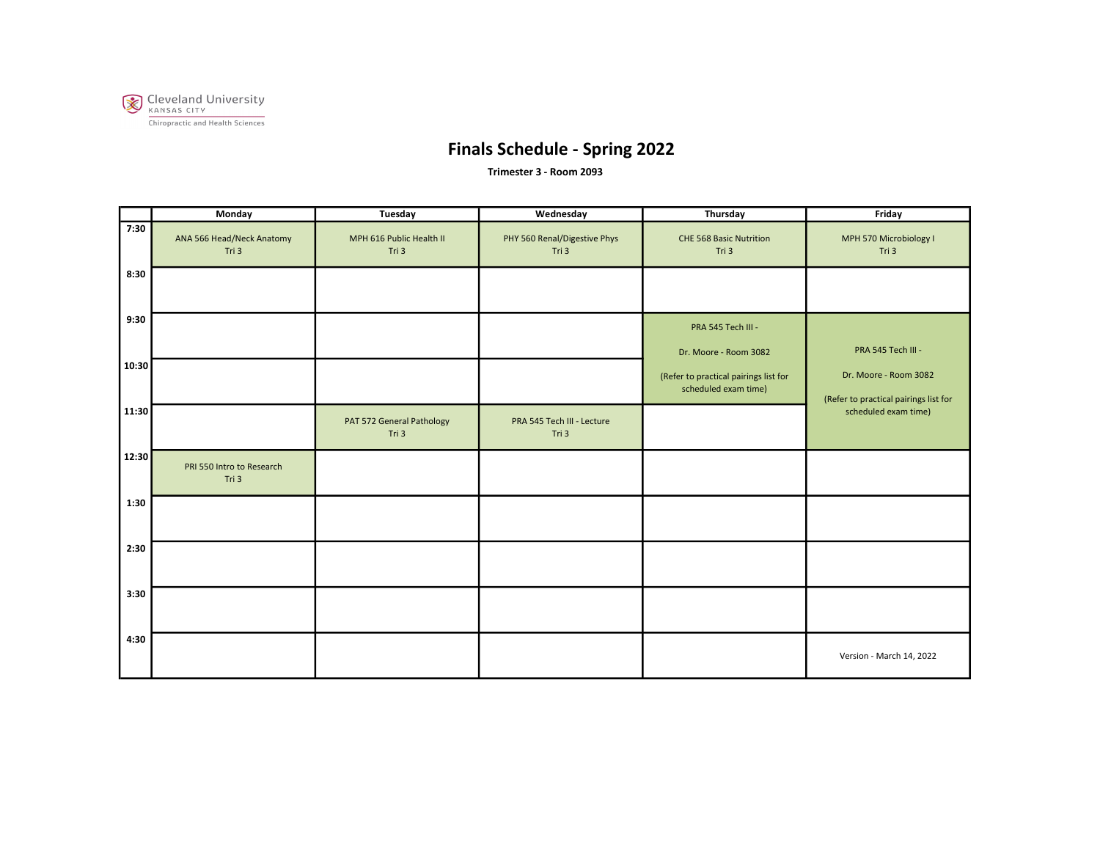

Trimester 3 - Room 2093

|       | Monday                             | Tuesday                            | Wednesday                             | Thursday                                                      | Friday                                                         |
|-------|------------------------------------|------------------------------------|---------------------------------------|---------------------------------------------------------------|----------------------------------------------------------------|
| 7:30  | ANA 566 Head/Neck Anatomy<br>Tri 3 | MPH 616 Public Health II<br>Tri 3  | PHY 560 Renal/Digestive Phys<br>Tri 3 | CHE 568 Basic Nutrition<br>Tri 3                              | MPH 570 Microbiology I<br>Tri 3                                |
| 8:30  |                                    |                                    |                                       |                                                               |                                                                |
| 9:30  |                                    |                                    |                                       | PRA 545 Tech III -<br>Dr. Moore - Room 3082                   | PRA 545 Tech III -                                             |
| 10:30 |                                    |                                    |                                       | (Refer to practical pairings list for<br>scheduled exam time) | Dr. Moore - Room 3082<br>(Refer to practical pairings list for |
| 11:30 |                                    | PAT 572 General Pathology<br>Tri 3 | PRA 545 Tech III - Lecture<br>Tri 3   |                                                               | scheduled exam time)                                           |
| 12:30 | PRI 550 Intro to Research<br>Tri 3 |                                    |                                       |                                                               |                                                                |
| 1:30  |                                    |                                    |                                       |                                                               |                                                                |
| 2:30  |                                    |                                    |                                       |                                                               |                                                                |
| 3:30  |                                    |                                    |                                       |                                                               |                                                                |
| 4:30  |                                    |                                    |                                       |                                                               | Version - March 14, 2022                                       |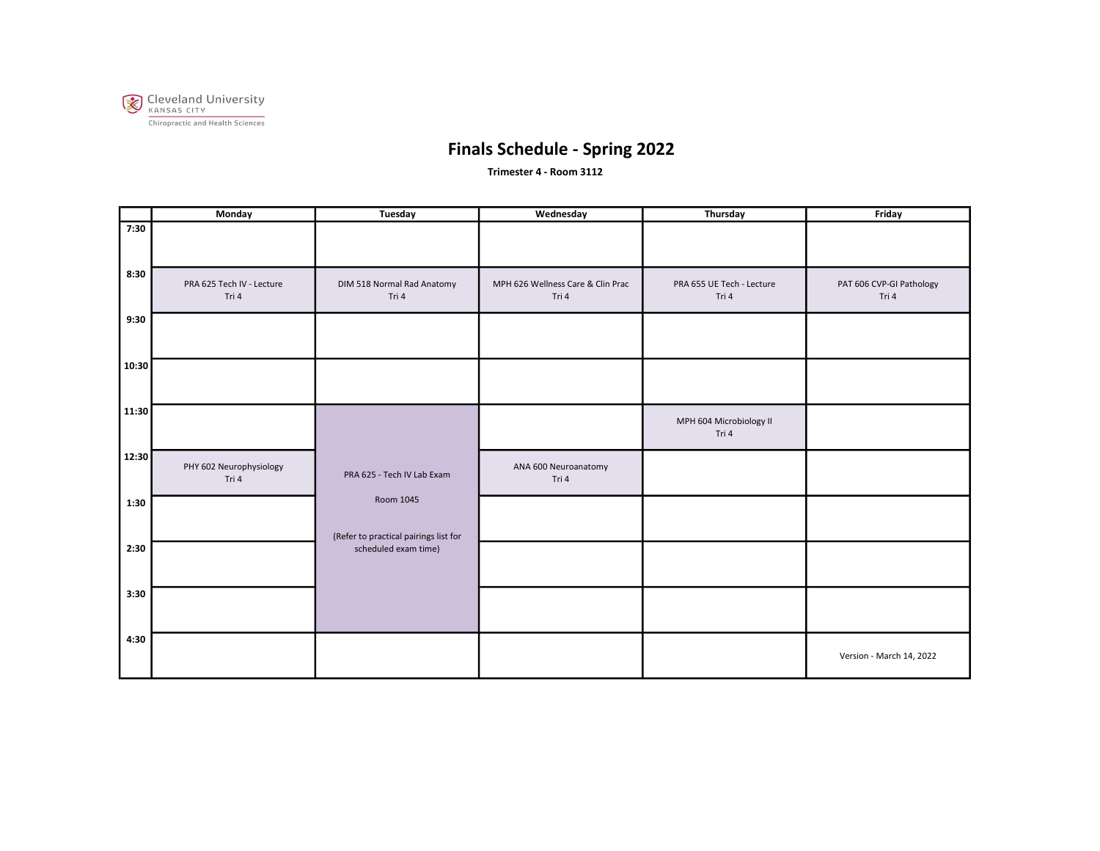

Trimester 4 - Room 3112

|       | Monday                             | Tuesday                                            | Wednesday                                  | Thursday                           | Friday                            |
|-------|------------------------------------|----------------------------------------------------|--------------------------------------------|------------------------------------|-----------------------------------|
| 7:30  |                                    |                                                    |                                            |                                    |                                   |
| 8:30  | PRA 625 Tech IV - Lecture<br>Tri 4 | DIM 518 Normal Rad Anatomy<br>Tri 4                | MPH 626 Wellness Care & Clin Prac<br>Tri 4 | PRA 655 UE Tech - Lecture<br>Tri 4 | PAT 606 CVP-GI Pathology<br>Tri 4 |
| 9:30  |                                    |                                                    |                                            |                                    |                                   |
| 10:30 |                                    |                                                    |                                            |                                    |                                   |
| 11:30 |                                    |                                                    |                                            | MPH 604 Microbiology II<br>Tri 4   |                                   |
| 12:30 | PHY 602 Neurophysiology<br>Tri 4   | PRA 625 - Tech IV Lab Exam                         | ANA 600 Neuroanatomy<br>Tri 4              |                                    |                                   |
| 1:30  |                                    | Room 1045<br>(Refer to practical pairings list for |                                            |                                    |                                   |
| 2:30  |                                    | scheduled exam time)                               |                                            |                                    |                                   |
| 3:30  |                                    |                                                    |                                            |                                    |                                   |
| 4:30  |                                    |                                                    |                                            |                                    | Version - March 14, 2022          |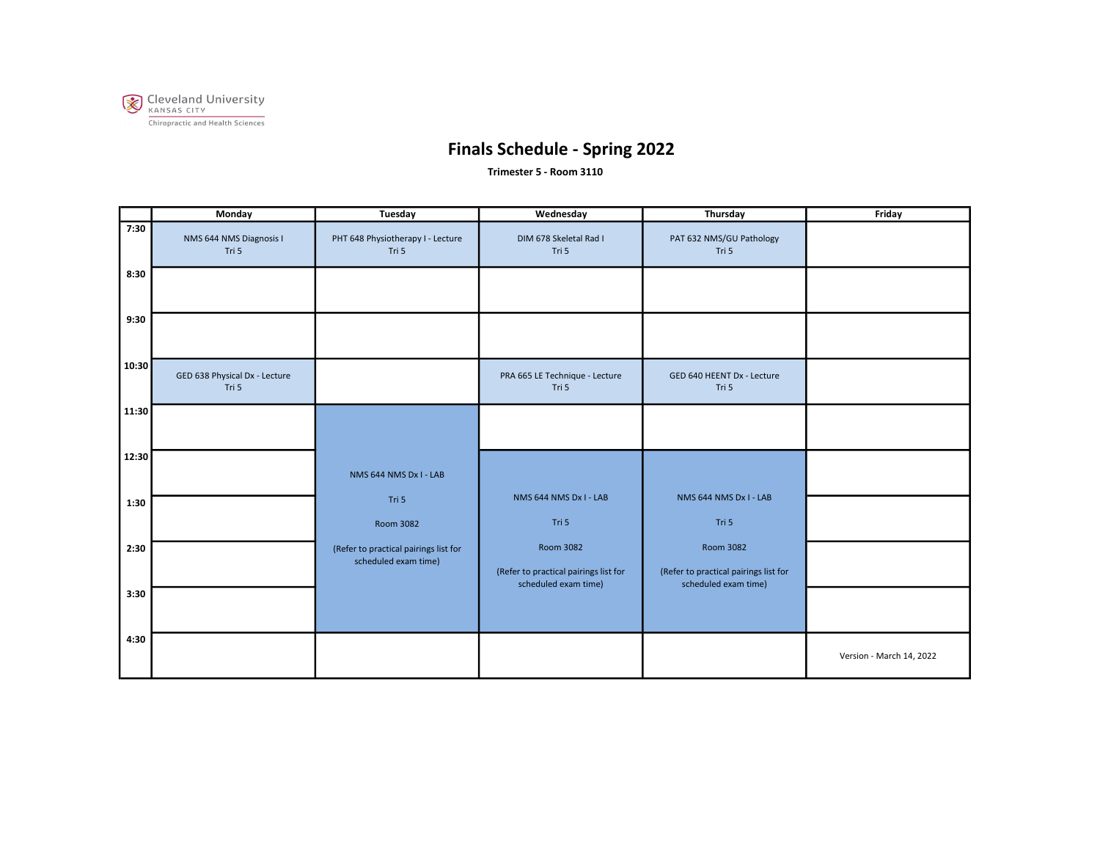

Trimester 5 - Room 3110

|       | <b>Monday</b>                          | Tuesday                                                       | Wednesday                                                                  | Thursday                                                                   | Friday                   |
|-------|----------------------------------------|---------------------------------------------------------------|----------------------------------------------------------------------------|----------------------------------------------------------------------------|--------------------------|
| 7:30  | NMS 644 NMS Diagnosis I<br>Tri 5       | PHT 648 Physiotherapy I - Lecture<br>Tri 5                    | DIM 678 Skeletal Rad I<br>Tri 5                                            | PAT 632 NMS/GU Pathology<br>Tri 5                                          |                          |
| 8:30  |                                        |                                                               |                                                                            |                                                                            |                          |
| 9:30  |                                        |                                                               |                                                                            |                                                                            |                          |
| 10:30 | GED 638 Physical Dx - Lecture<br>Tri 5 |                                                               | PRA 665 LE Technique - Lecture<br>Tri 5                                    | GED 640 HEENT Dx - Lecture<br>Tri 5                                        |                          |
| 11:30 |                                        |                                                               |                                                                            |                                                                            |                          |
| 12:30 |                                        | NMS 644 NMS Dx I - LAB<br>Tri 5                               | NMS 644 NMS Dx I - LAB                                                     | NMS 644 NMS Dx I - LAB                                                     |                          |
| 1:30  |                                        | Room 3082                                                     | Tri 5                                                                      | Tri 5                                                                      |                          |
| 2:30  |                                        | (Refer to practical pairings list for<br>scheduled exam time) | Room 3082<br>(Refer to practical pairings list for<br>scheduled exam time) | Room 3082<br>(Refer to practical pairings list for<br>scheduled exam time) |                          |
| 3:30  |                                        |                                                               |                                                                            |                                                                            |                          |
| 4:30  |                                        |                                                               |                                                                            |                                                                            | Version - March 14, 2022 |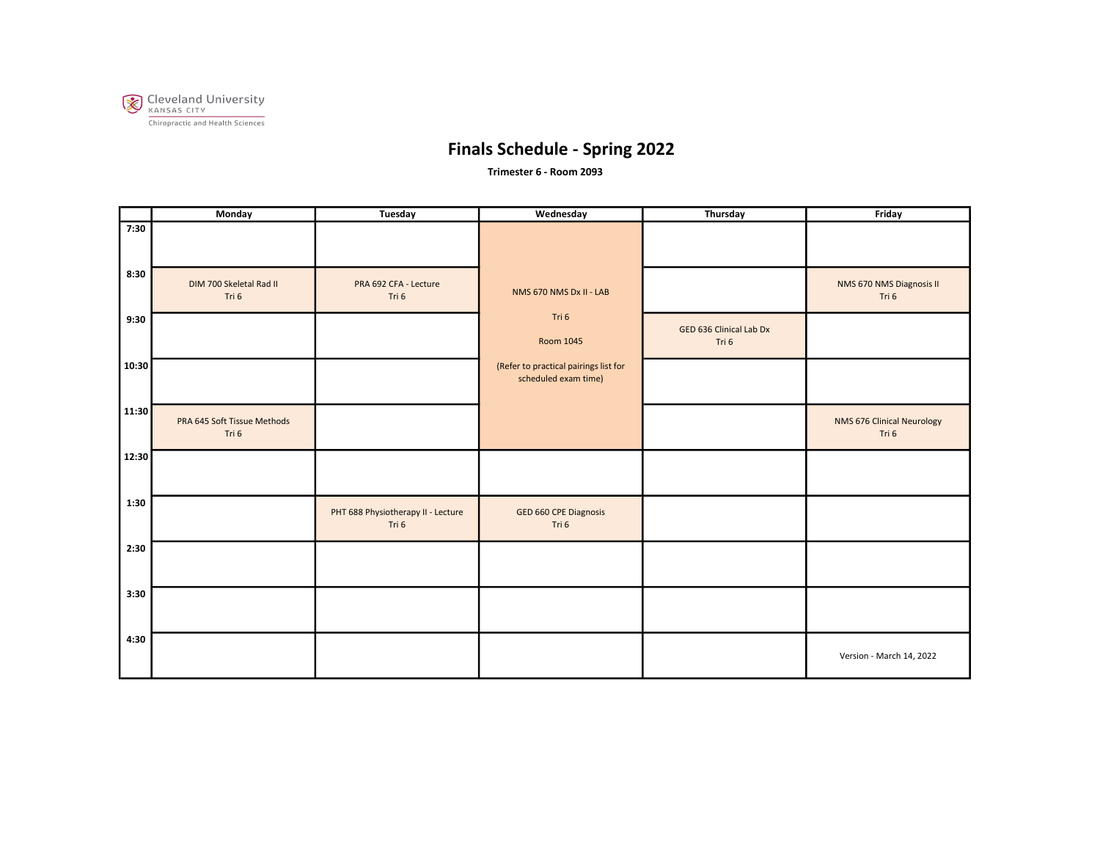

Trimester 6 - Room 2093

|       | Monday                               | Tuesday                                     | Wednesday                                                     | Thursday                         | Friday                              |
|-------|--------------------------------------|---------------------------------------------|---------------------------------------------------------------|----------------------------------|-------------------------------------|
| 7:30  |                                      |                                             |                                                               |                                  |                                     |
| 8:30  | DIM 700 Skeletal Rad II<br>Tri 6     | PRA 692 CFA - Lecture<br>Tri 6              | NMS 670 NMS Dx II - LAB                                       |                                  | NMS 670 NMS Diagnosis II<br>Tri 6   |
| 9:30  |                                      |                                             | Tri 6<br>Room 1045                                            | GED 636 Clinical Lab Dx<br>Tri 6 |                                     |
| 10:30 |                                      |                                             | (Refer to practical pairings list for<br>scheduled exam time) |                                  |                                     |
| 11:30 | PRA 645 Soft Tissue Methods<br>Tri 6 |                                             |                                                               |                                  | NMS 676 Clinical Neurology<br>Tri 6 |
| 12:30 |                                      |                                             |                                                               |                                  |                                     |
| 1:30  |                                      | PHT 688 Physiotherapy II - Lecture<br>Tri 6 | GED 660 CPE Diagnosis<br>Tri 6                                |                                  |                                     |
| 2:30  |                                      |                                             |                                                               |                                  |                                     |
| 3:30  |                                      |                                             |                                                               |                                  |                                     |
| 4:30  |                                      |                                             |                                                               |                                  | Version - March 14, 2022            |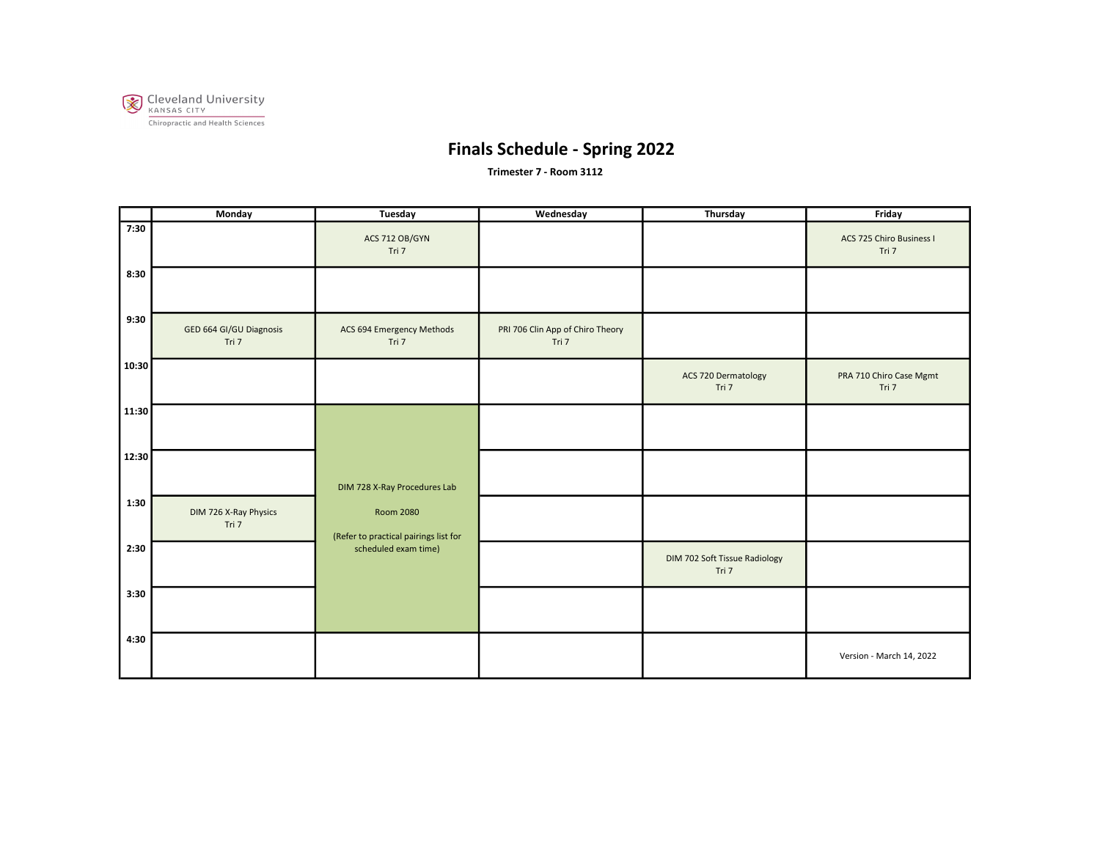

Trimester 7 - Room 3112

|       | Monday                           | Tuesday                                                   | Wednesday                                 | Thursday                               | Friday                            |
|-------|----------------------------------|-----------------------------------------------------------|-------------------------------------------|----------------------------------------|-----------------------------------|
| 7:30  |                                  | ACS 712 OB/GYN<br>Tri 7                                   |                                           |                                        | ACS 725 Chiro Business I<br>Tri 7 |
| 8:30  |                                  |                                                           |                                           |                                        |                                   |
| 9:30  | GED 664 GI/GU Diagnosis<br>Tri 7 | ACS 694 Emergency Methods<br>Tri 7                        | PRI 706 Clin App of Chiro Theory<br>Tri 7 |                                        |                                   |
| 10:30 |                                  |                                                           |                                           | ACS 720 Dermatology<br>Tri 7           | PRA 710 Chiro Case Mgmt<br>Tri 7  |
| 11:30 |                                  |                                                           |                                           |                                        |                                   |
| 12:30 |                                  | DIM 728 X-Ray Procedures Lab                              |                                           |                                        |                                   |
| 1:30  | DIM 726 X-Ray Physics<br>Tri 7   | <b>Room 2080</b><br>(Refer to practical pairings list for |                                           |                                        |                                   |
| 2:30  |                                  | scheduled exam time)                                      |                                           | DIM 702 Soft Tissue Radiology<br>Tri 7 |                                   |
| 3:30  |                                  |                                                           |                                           |                                        |                                   |
| 4:30  |                                  |                                                           |                                           |                                        | Version - March 14, 2022          |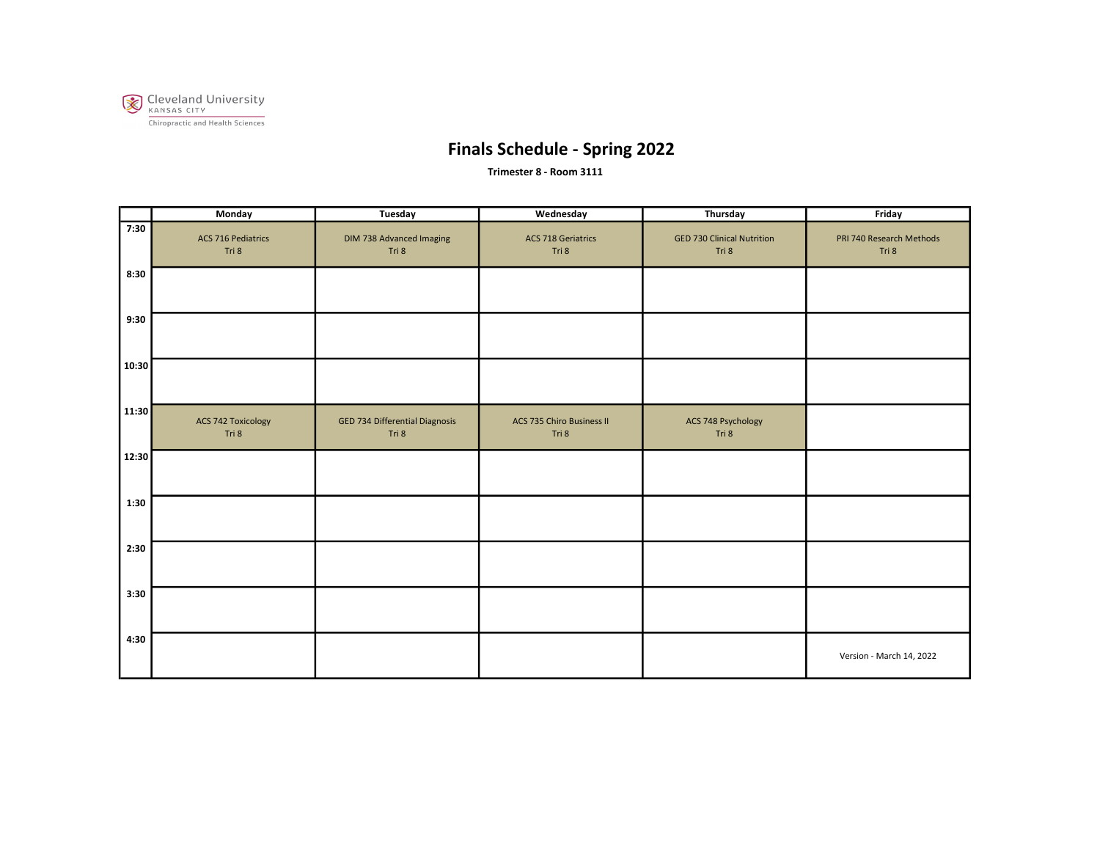

Trimester 8 - Room 3111

|       | Monday                             | Tuesday                                 | Wednesday                                 | Thursday                                   | Friday                            |
|-------|------------------------------------|-----------------------------------------|-------------------------------------------|--------------------------------------------|-----------------------------------|
| 7:30  | <b>ACS 716 Pediatrics</b><br>Tri 8 | DIM 738 Advanced Imaging<br>Tri 8       | <b>ACS 718 Geriatrics</b><br>Tri 8        | <b>GED 730 Clinical Nutrition</b><br>Tri 8 | PRI 740 Research Methods<br>Tri 8 |
| 8:30  |                                    |                                         |                                           |                                            |                                   |
| 9:30  |                                    |                                         |                                           |                                            |                                   |
| 10:30 |                                    |                                         |                                           |                                            |                                   |
| 11:30 | <b>ACS 742 Toxicology</b><br>Tri 8 | GED 734 Differential Diagnosis<br>Tri 8 | <b>ACS 735 Chiro Business II</b><br>Tri 8 | ACS 748 Psychology<br>Tri 8                |                                   |
| 12:30 |                                    |                                         |                                           |                                            |                                   |
| 1:30  |                                    |                                         |                                           |                                            |                                   |
| 2:30  |                                    |                                         |                                           |                                            |                                   |
| 3:30  |                                    |                                         |                                           |                                            |                                   |
| 4:30  |                                    |                                         |                                           |                                            | Version - March 14, 2022          |